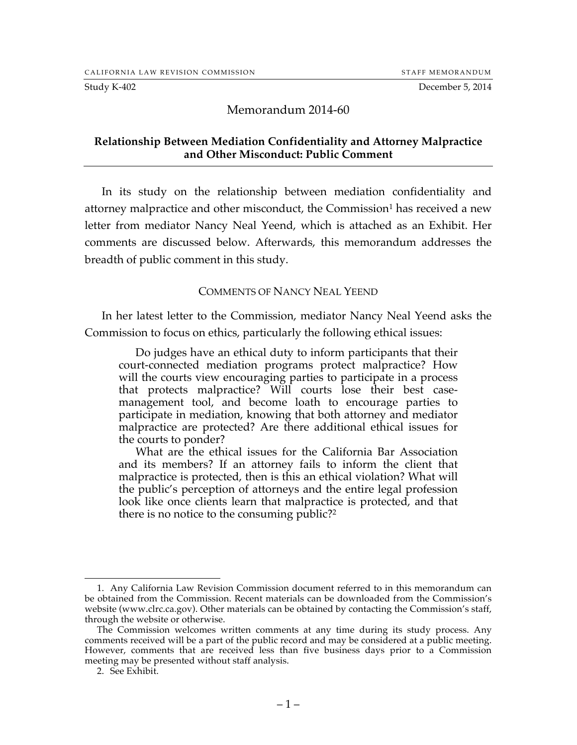Study K-402 December 5, 2014

## Memorandum 2014-60

## **Relationship Between Mediation Confidentiality and Attorney Malpractice and Other Misconduct: Public Comment**

In its study on the relationship between mediation confidentiality and attorney malpractice and other misconduct, the Commission<sup>1</sup> has received a new letter from mediator Nancy Neal Yeend, which is attached as an Exhibit. Her comments are discussed below. Afterwards, this memorandum addresses the breadth of public comment in this study.

## COMMENTS OF NANCY NEAL YEEND

In her latest letter to the Commission, mediator Nancy Neal Yeend asks the Commission to focus on ethics, particularly the following ethical issues:

Do judges have an ethical duty to inform participants that their court-connected mediation programs protect malpractice? How will the courts view encouraging parties to participate in a process that protects malpractice? Will courts lose their best casemanagement tool, and become loath to encourage parties to participate in mediation, knowing that both attorney and mediator malpractice are protected? Are there additional ethical issues for the courts to ponder?

What are the ethical issues for the California Bar Association and its members? If an attorney fails to inform the client that malpractice is protected, then is this an ethical violation? What will the public's perception of attorneys and the entire legal profession look like once clients learn that malpractice is protected, and that there is no notice to the consuming public?2

 <sup>1.</sup> Any California Law Revision Commission document referred to in this memorandum can be obtained from the Commission. Recent materials can be downloaded from the Commission's website (www.clrc.ca.gov). Other materials can be obtained by contacting the Commission's staff, through the website or otherwise.

The Commission welcomes written comments at any time during its study process. Any comments received will be a part of the public record and may be considered at a public meeting. However, comments that are received less than five business days prior to a Commission meeting may be presented without staff analysis.

<sup>2.</sup> See Exhibit.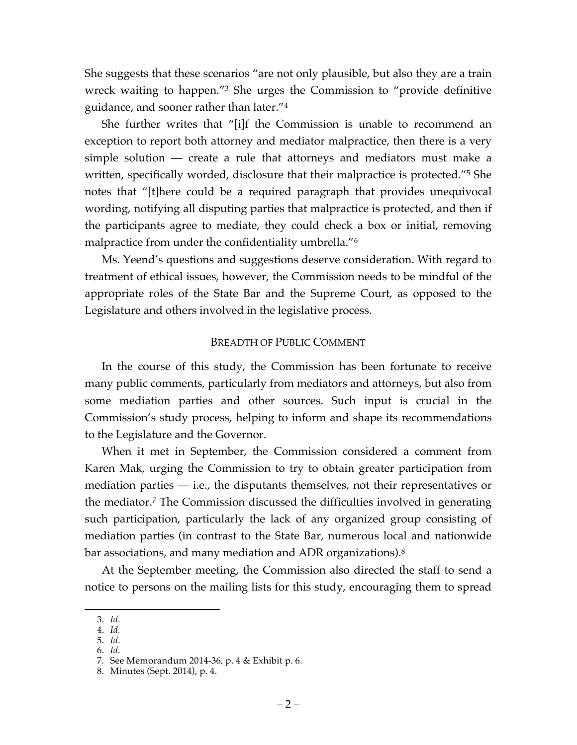She suggests that these scenarios "are not only plausible, but also they are a train wreck waiting to happen."3 She urges the Commission to "provide definitive guidance, and sooner rather than later."4

She further writes that "[i]f the Commission is unable to recommend an exception to report both attorney and mediator malpractice, then there is a very simple solution — create a rule that attorneys and mediators must make a written, specifically worded, disclosure that their malpractice is protected."5 She notes that "[t]here could be a required paragraph that provides unequivocal wording, notifying all disputing parties that malpractice is protected, and then if the participants agree to mediate, they could check a box or initial, removing malpractice from under the confidentiality umbrella."<sup>6</sup>

Ms. Yeend's questions and suggestions deserve consideration. With regard to treatment of ethical issues, however, the Commission needs to be mindful of the appropriate roles of the State Bar and the Supreme Court, as opposed to the Legislature and others involved in the legislative process.

## BREADTH OF PUBLIC COMMENT

In the course of this study, the Commission has been fortunate to receive many public comments, particularly from mediators and attorneys, but also from some mediation parties and other sources. Such input is crucial in the Commission's study process, helping to inform and shape its recommendations to the Legislature and the Governor.

When it met in September, the Commission considered a comment from Karen Mak, urging the Commission to try to obtain greater participation from mediation parties — i.e., the disputants themselves, not their representatives or the mediator. <sup>7</sup> The Commission discussed the difficulties involved in generating such participation, particularly the lack of any organized group consisting of mediation parties (in contrast to the State Bar, numerous local and nationwide bar associations, and many mediation and ADR organizations).<sup>8</sup>

At the September meeting, the Commission also directed the staff to send a notice to persons on the mailing lists for this study, encouraging them to spread

 <sup>3.</sup> *Id.*

<sup>4.</sup> *Id.*

<sup>5.</sup> *Id.* 6. *Id.*

<sup>7.</sup> See Memorandum 2014-36, p. 4 & Exhibit p. 6.

<sup>8.</sup> Minutes (Sept. 2014), p. 4.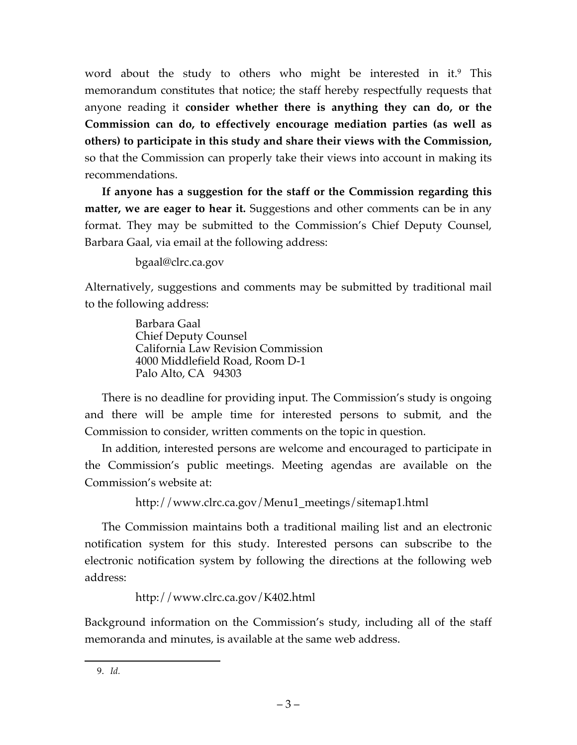word about the study to others who might be interested in it.<sup>9</sup> This memorandum constitutes that notice; the staff hereby respectfully requests that anyone reading it **consider whether there is anything they can do, or the Commission can do, to effectively encourage mediation parties (as well as others) to participate in this study and share their views with the Commission,**  so that the Commission can properly take their views into account in making its recommendations.

**If anyone has a suggestion for the staff or the Commission regarding this matter, we are eager to hear it.** Suggestions and other comments can be in any format. They may be submitted to the Commission's Chief Deputy Counsel, Barbara Gaal, via email at the following address:

bgaal@clrc.ca.gov

Alternatively, suggestions and comments may be submitted by traditional mail to the following address:

> Barbara Gaal Chief Deputy Counsel California Law Revision Commission 4000 Middlefield Road, Room D-1 Palo Alto, CA 94303

There is no deadline for providing input. The Commission's study is ongoing and there will be ample time for interested persons to submit, and the Commission to consider, written comments on the topic in question.

In addition, interested persons are welcome and encouraged to participate in the Commission's public meetings. Meeting agendas are available on the Commission's website at:

http://www.clrc.ca.gov/Menu1\_meetings/sitemap1.html

The Commission maintains both a traditional mailing list and an electronic notification system for this study. Interested persons can subscribe to the electronic notification system by following the directions at the following web address:

http://www.clrc.ca.gov/K402.html

Background information on the Commission's study, including all of the staff memoranda and minutes, is available at the same web address.

 <sup>9.</sup> *Id.*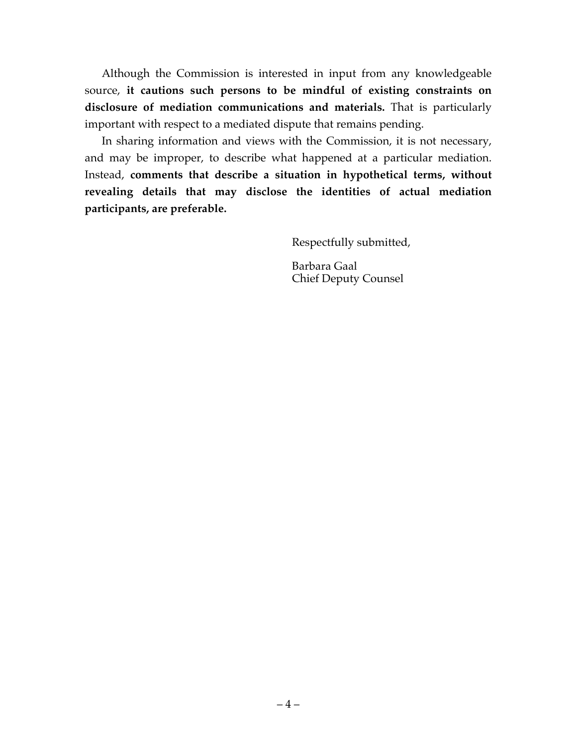Although the Commission is interested in input from any knowledgeable source, **it cautions such persons to be mindful of existing constraints on disclosure of mediation communications and materials.** That is particularly important with respect to a mediated dispute that remains pending.

In sharing information and views with the Commission, it is not necessary, and may be improper, to describe what happened at a particular mediation. Instead, **comments that describe a situation in hypothetical terms, without revealing details that may disclose the identities of actual mediation participants, are preferable.**

Respectfully submitted,

Barbara Gaal Chief Deputy Counsel